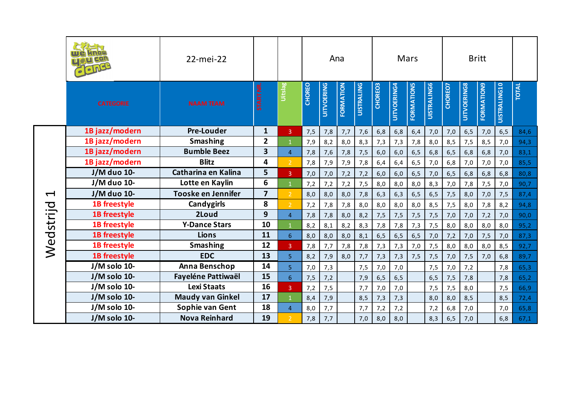|                      |                     | 22-mei-22                 |                         |                |               | Ana               |           |                   |         |                    | Mars              |                    |         | <b>Britt</b>       |                   |                     |              |
|----------------------|---------------------|---------------------------|-------------------------|----------------|---------------|-------------------|-----------|-------------------|---------|--------------------|-------------------|--------------------|---------|--------------------|-------------------|---------------------|--------------|
|                      | <b>CATEGORIE</b>    | <b>NAAM TEAM</b>          | START NR.               | <b>Seisin</b>  | <b>CHOREO</b> | <b>UITVOERING</b> | FORMATION | <b>UISTRALING</b> | CHOREO3 | <b>UITVOERING4</b> | <b>FORMATIONS</b> | <b>UISTRALING6</b> | CHOREO7 | <b>UITVOERING8</b> | <b>FORMATION9</b> | <b>UISTRALING10</b> | <b>TOTAL</b> |
|                      | 1B jazz/modern      | <b>Pre-Louder</b>         | $\mathbf{1}$            | $\mathbf{3}$   | 7,5           | 7,8               | 7,7       | 7,6               | 6,8     | 6, 8               | 6,4               | 7,0                | 7,0     | 6, 5               | 7,0               | 6, 5                | 84,6         |
|                      | 1B jazz/modern      | <b>Smashing</b>           | $\overline{2}$          | $\mathbf{1}$   | 7,9           | 8,2               | 8,0       | 8,3               | 7,3     | 7,3                | 7,8               | 8,0                | 8,5     | 7,5                | 8,5               | 7,0                 | 94,3         |
|                      | 1B jazz/modern      | <b>Bumble Beez</b>        | 3                       | $\overline{4}$ | 7,8           | 7,6               | 7,8       | 7,5               | 6,0     | 6,0                | 6, 5              | 6,8                | 6, 5    | 6,8                | 6,8               | 7,0                 | 83,1         |
|                      | 1B jazz/modern      | <b>Blitz</b>              | $\overline{\mathbf{4}}$ | $\overline{2}$ | 7,8           | 7,9               | 7,9       | 7,8               | 6,4     | 6,4                | 6, 5              | 7,0                | 6, 8    | 7,0                | 7,0               | 7,0                 | 85,5         |
|                      | J/M duo 10-         | Catharina en Kalina       | 5                       | $\overline{3}$ | 7,0           | 7,0               | 7,2       | 7,2               | 6,0     | 6,0                | 6, 5              | 7,0                | 6, 5    | 6,8                | 6,8               | 6,8                 | 80,8         |
|                      | J/M duo 10-         | Lotte en Kaylin           | 6                       |                | 7,2           | 7,2               | 7,2       | 7,5               | 8,0     | 8,0                | 8,0               | 8,3                | 7,0     | 7,8                | 7,5               | 7,0                 | 90,7         |
| $\blacktriangleleft$ | J/M duo 10-         | <b>Tooske en Jennifer</b> | $\overline{7}$          | $\overline{2}$ | 8,0           | 8,0               | 8,0       | 7,8               | 6,3     | 6,3                | 6, 5              | 6, 5               | 7,5     | 8,0                | 7,0               | 7,5                 | 87,4         |
|                      | 1B freestyle        | Candygirls                | 8                       | $\mathcal{P}$  | 7,2           | 7,8               | 7,8       | 8,0               | 8,0     | 8,0                | 8,0               | 8,5                | 7,5     | 8,0                | 7,8               | 8,2                 | 94,8         |
|                      | 1B freestyle        | 2Loud                     | 9                       | $\overline{4}$ | 7,8           | 7,8               | 8,0       | 8,2               | 7,5     | 7,5                | 7,5               | 7,5                | 7,0     | 7,0                | 7,2               | 7,0                 | 90,0         |
|                      | <b>1B</b> freestyle | <b>Y-Dance Stars</b>      | 10                      |                | 8,2           | 8,1               | 8,2       | 8,3               | 7,8     | 7,8                | 7,3               | 7,5                | 8,0     | 8,0                | 8,0               | 8,0                 | 95,2         |
|                      | 1B freestyle        | <b>Lions</b>              | 11                      | 6 <sup>1</sup> | 8,0           | 8,0               | 8,0       | 8,1               | 6, 5    | 6, 5               | 6, 5              | 7,0                | 7,2     | 7,0                | 7,5               | 7,0                 | 87,3         |
| Wedstrijd            | 1B freestyle        | <b>Smashing</b>           | 12                      | $\mathbf{3}$   | 7,8           | 7,7               | 7,8       | 7,8               | 7,3     | 7,3                | 7,0               | 7,5                | 8,0     | 8,0                | 8,0               | 8,5                 | 92,7         |
|                      | 1B freestyle        | <b>EDC</b>                | 13                      | 5 <sup>1</sup> | 8,2           | 7,9               | 8,0       | 7,7               | 7,3     | 7,3                | 7,5               | 7,5                | 7,0     | 7,5                | 7,0               | 6,8                 | 89,7         |
|                      | J/M solo 10-        | Anna Benschop             | 14                      | 5 <sup>1</sup> | 7,0           | 7,3               |           | 7,5               | 7,0     | 7,0                |                   | 7,5                | 7,0     | 7,2                |                   | 7,8                 | 65,3         |
|                      | J/M solo 10-        | <b>Fayeléne Pattiwaël</b> | 15                      | 6 <sup>1</sup> | 7,5           | 7,2               |           | 7,9               | 6, 5    | 6, 5               |                   | 6, 5               | 7,5     | 7,8                |                   | 7,8                 | 65,2         |
|                      | J/M solo 10-        | <b>Lexi Staats</b>        | 16                      | $\overline{3}$ | 7,2           | 7,5               |           | 7,7               | 7,0     | 7,0                |                   | 7,5                | 7,5     | 8,0                |                   | 7,5                 | 66,9         |
|                      | J/M solo 10-        | <b>Maudy van Ginkel</b>   | 17                      |                | 8,4           | 7,9               |           | 8,5               | 7,3     | 7,3                |                   | 8,0                | 8,0     | 8,5                |                   | 8,5                 | 72,4         |
|                      | J/M solo 10-        | Sophie van Gent           | 18                      | $\overline{4}$ | 8,0           | 7,7               |           | 7,7               | 7,2     | 7,2                |                   | 7,2                | 6,8     | 7,0                |                   | 7,0                 | 65,8         |
|                      | J/M solo 10-        | <b>Nova Reinhard</b>      | 19                      | $\mathcal{P}$  | 7,8           | 7,7               |           | 7,0               | 8,0     | 8,0                |                   | 8,3                | 6, 5    | 7,0                |                   | 6,8                 | 67,1         |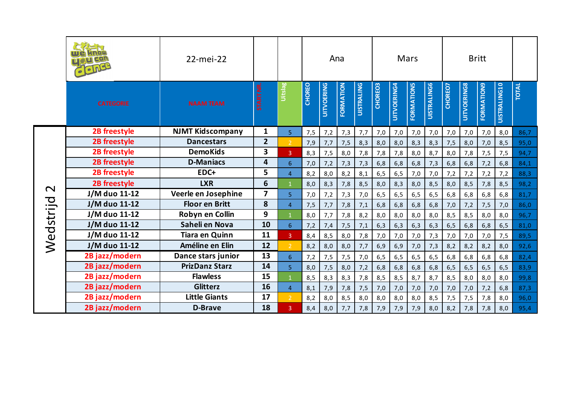|                   | Glong               | 22-mei-22               |                |                 |               |                   | Ana       |                   |         |             | Mars              |                    |         |                    | <b>Britt</b>      |                     |       |
|-------------------|---------------------|-------------------------|----------------|-----------------|---------------|-------------------|-----------|-------------------|---------|-------------|-------------------|--------------------|---------|--------------------|-------------------|---------------------|-------|
|                   | <b>CATEGORIE</b>    | <b>NAAM TEAM</b>        | START NR.      | <b>Uitslag</b>  | <b>CHOREO</b> | <b>UITVOERING</b> | FORMATION | <b>UISTRALING</b> | CHOREO3 | UITVOERING4 | <b>FORMATIONS</b> | <b>UISTRALING6</b> | CHOREO7 | <b>UITVOERING8</b> | <b>FORMATION9</b> | <b>UISTRALING10</b> | TOTAL |
|                   | <b>2B freestyle</b> | <b>NJMT</b> Kidscompany | $\mathbf{1}$   | 5               | 7,5           | 7,2               | 7,3       | 7,7               | 7,0     | 7,0         | 7,0               | 7,0                | 7,0     | 7,0                | 7,0               | 8,0                 | 86,7  |
|                   | 2B freestyle        | <b>Dancestars</b>       | $\overline{2}$ | $\overline{2}$  | 7,9           | 7,7               | 7,5       | 8,3               | 8,0     | 8,0         | 8,3               | 8,3                | 7,5     | 8,0                | 7,0               | 8,5                 | 95,0  |
|                   | 2B freestyle        | <b>DemoKids</b>         | 3              | 3 <sup>°</sup>  | 8,3           | 7,5               | 8,0       | 7,8               | 7,8     | 7,8         | 8,0               | 8,7                | 8,0     | 7,8                | 7,5               | 7,5                 | 94,7  |
|                   | 2B freestyle        | <b>D-Maniacs</b>        | 4              | 6               | 7,0           | 7,2               | 7,3       | 7,3               | 6,8     | 6,8         | 6, 8              | 7,3                | 6, 8    | 6, 8               | 7,2               | 6,8                 | 84,1  |
|                   | 2B freestyle        | EDC+                    | 5              | $\overline{4}$  | 8,2           | 8,0               | 8,2       | 8,1               | 6, 5    | 6, 5        | 7,0               | 7,0                | 7,2     | 7,2                | 7,2               | 7,2                 | 88,3  |
| $\mathbf{\Omega}$ | 2B freestyle        | <b>LXR</b>              | 6              | $\mathbf{1}$    | 8,0           | 8,3               | 7,8       | 8,5               | 8,0     | 8,3         | 8,0               | 8,5                | 8,0     | 8,5                | 7,8               | 8,5                 | 98,2  |
|                   | J/M duo 11-12       | Veerle en Josephine     | $\overline{7}$ | 5 <sup>1</sup>  | 7,0           | 7,2               | 7,3       | 7,0               | 6, 5    | 6, 5        | 6, 5              | 6,5                | 6, 8    | 6,8                | 6,8               | 6,8                 | 81,7  |
|                   | J/M duo 11-12       | <b>Floor en Britt</b>   | 8              | $\overline{4}$  | 7,5           | 7,7               | 7,8       | 7,1               | 6,8     | 6,8         | 6,8               | 6,8                | 7,0     | 7,2                | 7,5               | 7,0                 | 86,0  |
|                   | J/M duo 11-12       | Robyn en Collin         | 9              |                 | 8,0           | 7,7               | 7,8       | 8,2               | 8,0     | 8,0         | 8,0               | 8,0                | 8,5     | 8,5                | 8,0               | 8,0                 | 96,7  |
|                   | J/M duo 11-12       | Saheli en Nova          | 10             | $6\overline{6}$ | 7,2           | 7,4               | 7,5       | 7,1               | 6,3     | 6,3         | 6,3               | 6,3                | 6, 5    | 6,8                | 6,8               | 6, 5                | 81,0  |
|                   | J/M duo 11-12       | <b>Tiara en Quinn</b>   | 11             | $\overline{3}$  | 8,4           | 8,5               | 8,0       | 7,8               | 7,0     | 7,0         | 7,0               | 7,3                | 7,0     | 7,0                | 7,0               | 7,5                 | 89,5  |
| Wedstrijd         | J/M duo 11-12       | Améline en Elin         | 12             | $\overline{2}$  | 8,2           | 8,0               | 8,0       | 7,7               | 6,9     | 6,9         | 7,0               | 7,3                | 8,2     | 8,2                | 8,2               | 8,0                 | 92,6  |
|                   | 2B jazz/modern      | Dance stars junior      | 13             | 6 <sup>1</sup>  | 7,2           | 7,5               | 7,5       | 7,0               | 6, 5    | 6, 5        | 6, 5              | 6, 5               | 6, 8    | 6,8                | 6,8               | 6,8                 | 82,4  |
|                   | 2B jazz/modern      | <b>PrizDanz Starz</b>   | 14             | $\overline{5}$  | 8,0           | 7,5               | 8,0       | 7,2               | 6,8     | 6,8         | 6,8               | 6,8                | 6, 5    | 6, 5               | 6, 5              | 6, 5                | 83,9  |
|                   | 2B jazz/modern      | <b>Flawless</b>         | 15             | $\mathbf{1}$    | 8,5           | 8,3               | 8,3       | 7,8               | 8,5     | 8,5         | 8,7               | 8,7                | 8,5     | 8,0                | 8,0               | 8,0                 | 99,8  |
|                   | 2B jazz/modern      | <b>Glitterz</b>         | 16             | $\overline{4}$  | 8,1           | 7,9               | 7,8       | 7,5               | 7,0     | 7,0         | 7,0               | 7,0                | 7,0     | 7,0                | 7,2               | 6,8                 | 87,3  |
|                   | 2B jazz/modern      | <b>Little Giants</b>    | 17             | $\overline{2}$  | 8,2           | 8,0               | 8,5       | 8,0               | 8,0     | 8,0         | 8,0               | 8,5                | 7,5     | 7,5                | 7,8               | 8,0                 | 96,0  |
|                   | 2B jazz/modern      | <b>D-Brave</b>          | 18             | $\overline{3}$  | 8,4           | 8,0               | 7,7       | 7,8               | 7,9     | 7,9         | 7,9               | 8,0                | 8,2     | 7,8                | 7,8               | 8,0                 | 95,4  |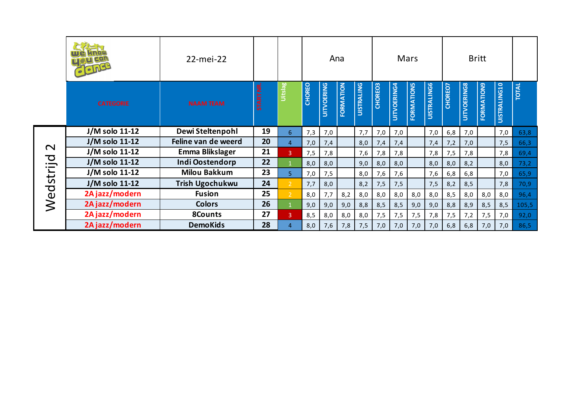|                   | $\bullet$ $\bullet$ $\mathbb{N}$ | 22-mei-22              |           |                |               |                   | Ana       |                   |         |             | Mars              |                    |         |             | <b>Britt</b>      |                     |              |
|-------------------|----------------------------------|------------------------|-----------|----------------|---------------|-------------------|-----------|-------------------|---------|-------------|-------------------|--------------------|---------|-------------|-------------------|---------------------|--------------|
|                   | <b>CATEGORIE</b>                 | <b>NAAM TEAM</b>       | START NR. | <b>Belstin</b> | <b>CHOREO</b> | <b>UITVOERING</b> | FORMATION | <b>UISTRALING</b> | CHOREO3 | UITVOERING4 | <b>FORMATIONS</b> | <b>UISTRALING6</b> | CHOREO7 | UITVOERING8 | <b>FORMATION9</b> | <b>UISTRALING10</b> | <b>TOTAL</b> |
|                   | J/M solo 11-12                   | Dewi Steltenpohl       | 19        | 6              | 7,3           | 7,0               |           | 7,7               | 7,0     | 7,0         |                   | 7,0                | 6,8     | 7,0         |                   | 7,0                 | 63,8         |
|                   | J/M solo 11-12                   | Feline van de weerd    | 20        | $\overline{4}$ | 7,0           | 7,4               |           | 8,0               | 7,4     | 7,4         |                   | 7,4                | 7,2     | 7,0         |                   | 7,5                 | 66,3         |
| $\mathbf{\Omega}$ | J/M solo 11-12                   | Emma Blikslager        | 21        | 3 <sup>°</sup> | 7,5           | 7,8               |           | 7,6               | 7,8     | 7,8         |                   | 7,8                | 7,5     | 7,8         |                   | 7,8                 | 69,4         |
|                   | J/M solo 11-12                   | Indi Oostendorp        | 22        |                | 8,0           | 8,0               |           | 9,0               | 8,0     | 8,0         |                   | 8,0                | 8,0     | 8,2         |                   | 8,0                 | 73,2         |
|                   | J/M solo 11-12                   | Milou Bakkum           | 23        | 5 <sup>1</sup> | 7,0           | 7,5               |           | 8,0               | 7,6     | 7,6         |                   | 7,6                | 6, 8    | 6,8         |                   | 7,0                 | 65,9         |
|                   | J/M solo 11-12                   | <b>Trish Ugochukwu</b> | 24        | 2 <sup>1</sup> | 7,7           | 8,0               |           | 8,2               | 7,5     | 7,5         |                   | 7,5                | 8,2     | 8,5         |                   | 7,8                 | 70,9         |
| Wedstrijd         | 2A jazz/modern                   | <b>Fusion</b>          | 25        | $\overline{2}$ | 8,0           | 7,7               | 8,2       | 8,0               | 8,0     | 8,0         | 8,0               | 8,0                | 8,5     | 8,0         | 8,0               | 8,0                 | 96,4         |
|                   | 2A jazz/modern                   | <b>Colors</b>          | 26        |                | 9,0           | 9,0               | 9,0       | 8,8               | 8,5     | 8,5         | 9,0               | 9,0                | 8,8     | 8,9         | 8,5               | 8,5                 | 105,5        |
|                   | 2A jazz/modern                   | 8Counts                | 27        | $\mathbf{3}$   | 8,5           | 8,0               | 8,0       | 8,0               | 7,5     | 7,5         | 7,5               | 7,8                | 7,5     | 7,2         | 7,5               | 7,0                 | 92,0         |
|                   | 2A jazz/modern                   | <b>DemoKids</b>        | 28        | $\overline{4}$ | 8,0           | 7,6               | 7,8       | 7,5               | 7,0     | 7,0         | 7,0               | 7,0                | 6, 8    | 6,8         | 7,0               | 7,0                 | 86,5         |
|                   |                                  |                        |           |                |               |                   |           |                   |         |             |                   |                    |         |             |                   |                     |              |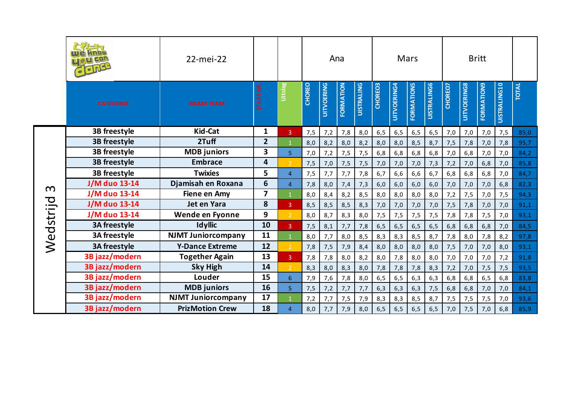|           |                      | 22-mei-22                 |                  |                |               |                   | Ana       |                   |         |             | Mars       |                    |         |                    | <b>Britt</b>      |                     |              |
|-----------|----------------------|---------------------------|------------------|----------------|---------------|-------------------|-----------|-------------------|---------|-------------|------------|--------------------|---------|--------------------|-------------------|---------------------|--------------|
|           | <b>CATEGORIE</b>     | <b>NAAM TEAM</b>          | <b>START NR.</b> | Uitslag        | <b>CHOREO</b> | <b>UITVOERING</b> | FORMATION | <b>UISTRALING</b> | CHOREO3 | UITVOERING4 | FORMATIONS | <b>UISTRALING6</b> | CHOREO7 | <b>UITVOERING8</b> | <b>FORMATION9</b> | <b>UISTRALING10</b> | <b>TOTAL</b> |
|           | 3B freestyle         | <b>Kid-Cat</b>            | $\mathbf{1}$     | 3              | 7,5           | 7,2               | 7,8       | 8,0               | 6, 5    | 6, 5        | 6, 5       | 6, 5               | 7,0     | 7,0                | 7,0               | 7,5                 | 85,0         |
|           | 3B freestyle         | 2Tuff                     | $\overline{2}$   | $\mathbf{1}$   | 8,0           | 8,2               | 8,0       | 8,2               | 8,0     | 8,0         | 8,5        | 8,7                | 7,5     | 7,8                | 7,0               | 7,8                 | 95,7         |
|           | 3B freestyle         | <b>MDB</b> juniors        | 3                | $\overline{5}$ | 7,0           | 7,2               | 7,5       | 7,5               | 6,8     | 6, 8        | 6,8        | 6,8                | 7,0     | 6,8                | 7,0               | 7,0                 | 84,2         |
|           | 3B freestyle         | <b>Embrace</b>            | 4                | $\overline{2}$ | 7,5           | 7,0               | 7,5       | 7,5               | 7,0     | 7,0         | 7,0        | 7,3                | 7,2     | 7,0                | 6, 8              | 7,0                 | 85,8         |
|           | 3B freestyle         | <b>Twixies</b>            | 5                | $\overline{4}$ | 7,5           | 7,7               | 7,7       | 7,8               | 6,7     | 6, 6        | 6, 6       | 6,7                | 6, 8    | 6,8                | 6,8               | 7,0                 | 84,7         |
| $\infty$  | J/M duo 13-14        | Djamisah en Roxana        | 6                | $\overline{4}$ | 7,8           | 8,0               | 7,4       | 7,3               | 6,0     | 6,0         | 6,0        | 6,0                | 7,0     | 7,0                | 7,0               | 6,8                 | 82,3         |
|           | J/M duo 13-14        | <b>Fiene en Amy</b>       | $\overline{z}$   | $\mathbf{1}$   | 8,0           | 8,4               | 8,2       | 8,5               | 8,0     | 8,0         | 8,0        | 8,0                | 7,2     | 7,5                | 7,0               | 7,5                 | 94,3         |
|           | J/M duo 13-14        | Jet en Yara               | 8                | $\mathbf{3}$   | 8,5           | 8,5               | 8,5       | 8,3               | 7,0     | 7,0         | 7,0        | 7,0                | 7,5     | 7,8                | 7,0               | 7,0                 | 91,1         |
|           | <b>J/M</b> duo 13-14 | Wende en Fyonne           | 9                | $\overline{2}$ | 8,0           | 8,7               | 8,3       | 8,0               | 7,5     | 7,5         | 7,5        | 7,5                | 7,8     | 7,8                | 7,5               | 7,0                 | 93,1         |
|           | <b>3A freestyle</b>  | <b>Idyllic</b>            | 10               | $\overline{3}$ | 7,5           | 8,1               | 7,7       | 7,8               | 6, 5    | 6, 5        | 6, 5       | 6, 5               | 6, 8    | 6,8                | 6,8               | 7,0                 | 84,5         |
|           | 3A freestyle         | <b>NJMT Juniorcompany</b> | 11               | $\mathbf{1}$   | 8,0           | 7,7               | 8,0       | 8,5               | 8,3     | 8,3         | 8,5        | 8,7                | 7,8     | 8,0                | 7,8               | 8,2                 | 97,8         |
| Wedstrijd | 3A freestyle         | <b>Y-Dance Extreme</b>    | 12               | $\overline{2}$ | 7,8           | 7,5               | 7,9       | 8,4               | 8,0     | 8,0         | 8,0        | 8,0                | 7,5     | 7,0                | 7,0               | 8,0                 | 93,1         |
|           | 3B jazz/modern       | <b>Together Again</b>     | 13               | 3 <sup>°</sup> | 7,8           | 7,8               | 8,0       | 8,2               | 8,0     | 7,8         | 8,0        | 8,0                | 7,0     | 7,0                | 7,0               | 7,2                 | 91,8         |
|           | 3B jazz/modern       | <b>Sky High</b>           | 14               | $\overline{2}$ | 8,3           | 8,0               | 8,3       | 8,0               | 7,8     | 7,8         | 7,8        | 8,3                | 7,2     | 7,0                | 7,5               | 7,5                 | 93,5         |
|           | 3B jazz/modern       | Louder                    | 15               | 6 <sup>1</sup> | 7,9           | 7,6               | 7,8       | 8,0               | 6, 5    | 6, 5        | 6,3        | 6,3                | 6, 8    | 6, 8               | 6, 5              | 6,8                 | 83,8         |
|           | 3B jazz/modern       | <b>MDB</b> juniors        | 16               | $\overline{5}$ | 7,5           | 7,2               | 7,7       | 7,7               | 6,3     | 6,3         | 6,3        | 7,5                | 6, 8    | 6,8                | 7,0               | 7,0                 | 84,1         |
|           | 3B jazz/modern       | <b>NJMT Juniorcompany</b> | 17               |                | 7,2           | 7,7               | 7,5       | 7,9               | 8,3     | 8,3         | 8,5        | 8,7                | 7,5     | 7,5                | 7,5               | 7,0                 | 93,6         |
|           | 3B jazz/modern       | <b>PrizMotion Crew</b>    | 18               | $\overline{4}$ | 8,0           | 7,7               | 7,9       | 8,0               | 6, 5    | 6, 5        | 6, 5       | 6, 5               | 7,0     | 7,5                | 7,0               | 6,8                 | 85,9         |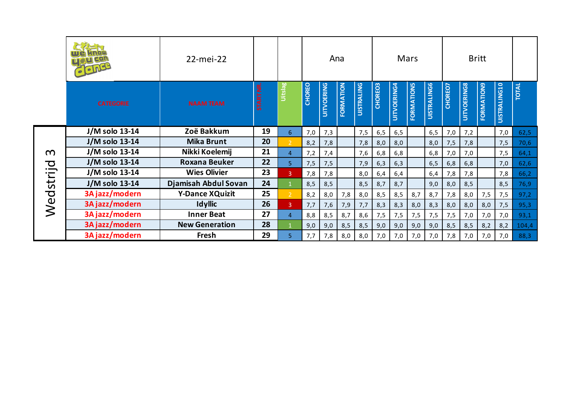|          |                  | 22-mei-22              |           |                       |               |                   | Ana       |                   |         |                    | Mars              |                    |         |                    | <b>Britt</b>      |                     |              |
|----------|------------------|------------------------|-----------|-----------------------|---------------|-------------------|-----------|-------------------|---------|--------------------|-------------------|--------------------|---------|--------------------|-------------------|---------------------|--------------|
|          | <b>CATEGORIE</b> | <b>NAAM TEAM</b>       | START NR. | <b><u>Oitslag</u></b> | <b>CHOREO</b> | <b>UITVOERING</b> | FORMATION | <b>UISTRALING</b> | CHOREO3 | <b>UITVOERING4</b> | <b>EORMATIONS</b> | <b>UISTRALING6</b> | CHOREO7 | <b>UITVOERING8</b> | <b>FORMATION9</b> | <b>UISTRALING10</b> | <b>TOTAL</b> |
|          | J/M solo 13-14   | Zoë Bakkum             | 19        | 6                     | 7,0           | 7,3               |           | 7,5               | 6,5     | 6, 5               |                   | 6,5                | 7,0     | 7,2                |                   | 7,0                 | 62,5         |
|          | J/M solo 13-14   | <b>Mika Brunt</b>      | 20        | $\overline{2}$        | 8,2           | 7,8               |           | 7,8               | 8,0     | 8,0                |                   | 8,0                | 7,5     | 7,8                |                   | 7,5                 | 70,6         |
| $\Omega$ | J/M solo 13-14   | Nikki Koelemij         | 21        | $\overline{4}$        | 7,2           | 7,4               |           | 7,6               | 6,8     | 6,8                |                   | 6,8                | 7,0     | 7,0                |                   | 7,5                 | 64,1         |
| つ        | J/M solo 13-14   | <b>Roxana Beuker</b>   | 22        | 5                     | 7,5           | 7,5               |           | 7,9               | 6,3     | 6,3                |                   | 6, 5               | 6, 8    | 6,8                |                   | 7,0                 | 62,6         |
|          | J/M solo 13-14   | <b>Wies Olivier</b>    | 23        | 3 <sup>°</sup>        | 7,8           | 7,8               |           | 8,0               | 6,4     | 6,4                |                   | 6,4                | 7,8     | 7,8                |                   | 7,8                 | 66,2         |
|          | J/M solo 13-14   | Djamisah Abdul Sovan   | 24        | $\mathbf{1}$          | 8,5           | 8,5               |           | 8,5               | 8,7     | 8,7                |                   | 9,0                | 8,0     | 8,5                |                   | 8,5                 | 76,9         |
| Wedstrij | 3A jazz/modern   | <b>Y-Dance XQuizit</b> | 25        | $\overline{2}$        | 8,2           | 8,0               | 7,8       | 8,0               | 8,5     | 8,5                | 8,7               | 8,7                | 7,8     | 8,0                | 7,5               | 7,5                 | 97,2         |
|          | 3A jazz/modern   | <b>Idyllic</b>         | 26        | $\mathbf{3}$          | 7,7           | 7,6               | 7,9       | 7,7               | 8,3     | 8,3                | 8,0               | 8,3                | 8,0     | 8,0                | 8,0               | 7,5                 | 95,3         |
|          | 3A jazz/modern   | <b>Inner Beat</b>      | 27        | $\overline{4}$        | 8,8           | 8,5               | 8,7       | 8,6               | 7,5     | 7,5                | 7,5               | 7,5                | 7,5     | 7,0                | 7,0               | 7,0                 | 93,1         |
|          | 3A jazz/modern   | <b>New Generation</b>  | 28        |                       | 9,0           | 9,0               | 8,5       | 8,5               | 9,0     | 9,0                | 9,0               | 9,0                | 8,5     | 8,5                | 8,2               | 8,2                 | 104,4        |
|          | 3A jazz/modern   | Fresh                  | 29        | 5                     | 7,7           | 7,8               | 8,0       | 8,0               | 7,0     | 7,0                | 7,0               | 7,0                | 7,8     | 7,0                | 7,0               | 7,0                 | 88,3         |
|          |                  |                        |           |                       |               |                   |           |                   |         |                    |                   |                    |         |                    |                   |                     |              |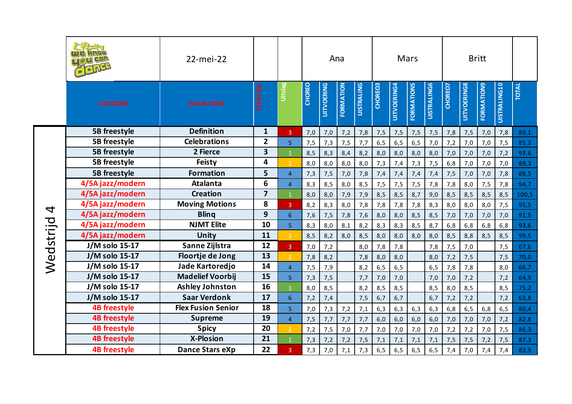|           |                     | 22-mei-22                 |                         |                |               |                   | Ana       |                   |         |             | Mars              |                    |         |                    | <b>Britt</b>      |              |              |
|-----------|---------------------|---------------------------|-------------------------|----------------|---------------|-------------------|-----------|-------------------|---------|-------------|-------------------|--------------------|---------|--------------------|-------------------|--------------|--------------|
|           | <b>CATEGORIE</b>    | <b>NAAM TEAM</b>          | <b>START NR</b>         | Uitslag        | <b>CHOREO</b> | <b>UITVOERING</b> | FORMATION | <b>UISTRALING</b> | CHOREO3 | UITVOERING4 | <b>FORMATIONS</b> | <b>UISTRALING6</b> | CHOREO7 | <b>UITVOERING8</b> | <b>FORMATION9</b> | UISTRALING10 | <b>TOTAL</b> |
|           | 5B freestyle        | <b>Definition</b>         | $\mathbf{1}$            | $\overline{3}$ | 7,0           | 7,0               | 7,2       | 7,8               | 7,5     | 7,5         | 7,5               | 7,5                | 7,8     | 7,5                | 7,0               | 7,8          | 89,1         |
|           | 5B freestyle        | <b>Celebrations</b>       | $\overline{2}$          | 5 <sup>1</sup> | 7,5           | 7,3               | 7,5       | 7,7               | 6, 5    | 6, 5        | 6, 5              | 7,0                | 7,2     | 7,0                | 7,0               | 7,5          | 85,2         |
|           | <b>5B</b> freestyle | 2 Fierce                  | 3                       |                | 8,5           | 8,3               | 8,4       | 8,2               | 8,0     | 8,0         | 8,0               | 8,0                | 7,0     | 7,0                | 7,0               | 7,2          | 93,6         |
|           | 5B freestyle        | Feisty                    | 4                       | $\mathcal{P}$  | 8,0           | 8,0               | 8,0       | 8,0               | 7,3     | 7,4         | 7,3               | 7,5                | 6, 8    | 7,0                | 7,0               | 7,0          | 89,3         |
|           | <b>5B</b> freestyle | <b>Formation</b>          | 5                       | $\overline{4}$ | 7,3           | 7,5               | 7,0       | 7,8               | 7,4     | 7,4         | 7,4               | 7,4                | 7,5     | 7,0                | 7,0               | 7,8          | 88,5         |
|           | 4/5A jazz/modern    | <b>Atalanta</b>           | 6                       | $\overline{4}$ | 8,3           | 8,5               | 8,0       | 8,5               | 7,5     | 7,5         | 7,5               | 7,8                | 7,8     | 8,0                | 7,5               | 7,8          | 94,7         |
|           | 4/5A jazz/modern    | <b>Creation</b>           | $\overline{\mathbf{z}}$ |                | 8,0           | 8,0               | 7,9       | 7,9               | 8,5     | 8,5         | 8,7               | 9,0                | 8,5     | 8,5                | 8,5               | 8,5          | 100,5        |
| 4         | 4/5A jazz/modern    | <b>Moving Motions</b>     | 8                       | $\overline{3}$ | 8,2           | 8,3               | 8,0       | 7,8               | 7,8     | 7,8         | 7,8               | 8,3                | 8,0     | 8,0                | 8,0               | 7,5          | 95,5         |
|           | 4/5A jazz/modern    | <b>Bling</b>              | 9                       | 6 <sup>1</sup> | 7,6           | 7,5               | 7,8       | 7,6               | 8,0     | 8,0         | 8,5               | 8,5                | 7,0     | 7,0                | 7,0               | 7,0          | 91,5         |
|           | 4/5A jazz/modern    | <b>NJMT Elite</b>         | 10                      | 5 <sup>1</sup> | 8,3           | 8,0               | 8,1       | 8,2               | 8,3     | 8,3         | 8,5               | 8,7                | 6, 8    | 6,8                | 6,8               | 6,8          | 93,6         |
|           | 4/5A jazz/modern    | Unity                     | 11                      | $\overline{2}$ | 8,5           | 8,2               | 8,0       | 8,5               | 8,0     | 8,0         | 8,0               | 8,0                | 8,5     | 8,8                | 8,5               | 8,5          | 99,5         |
| Wedstrijd | J/M solo 15-17      | Sanne Zijlstra            | 12                      | 3 <sup>1</sup> | 7,0           | 7,2               |           | 8,0               | 7,8     | 7,8         |                   | 7,8                | 7,5     | 7,0                |                   | 7,5          | 67,6         |
|           | J/M solo 15-17      | Floortje de Jong          | 13                      | $\overline{2}$ | 7,8           | 8,2               |           | 7,8               | 8,0     | 8,0         |                   | 8,0                | 7,2     | 7,5                |                   | 7,5          | 70,0         |
|           | J/M solo 15-17      | Jade Kartoredjo           | 14                      | $\overline{4}$ | 7,5           | 7,9               |           | 8,2               | 6,5     | 6, 5        |                   | 6, 5               | 7,8     | 7,8                |                   | 8,0          | 66,7         |
|           | J/M solo 15-17      | <b>Madelief Voorbij</b>   | 15                      | $\overline{5}$ | 7,3           | 7,5               |           | 7,7               | 7,0     | 7,0         |                   | 7,0                | 7,0     | 7,2                |                   | 7,2          | 64,9         |
|           | J/M solo 15-17      | <b>Ashley Johnston</b>    | 16                      | $\mathbf{1}$   | 8,0           | 8,5               |           | 8,2               | 8,5     | 8,5         |                   | 8,5                | 8,0     | 8,5                |                   | 8,5          | 75,2         |
|           | J/M solo 15-17      | <b>Saar Verdonk</b>       | 17                      | 6 <sup>1</sup> | 7,2           | 7,4               |           | 7,5               | 6,7     | 6,7         |                   | 6,7                | 7,2     | 7,2                |                   | 7,2          | 63,8         |
|           | <b>4B freestyle</b> | <b>Flex Fusion Senior</b> | 18                      | 5 <sup>1</sup> | 7,0           | 7,3               | 7,2       | 7,1               | 6,3     | 6,3         | 6,3               | 6,3                | 6,8     | 6, 5               | 6,8               | 6, 5         | 80,4         |
|           | <b>4B freestyle</b> | <b>Supreme</b>            | 19                      | $\overline{4}$ | 7,5           | 7,7               | 7,7       | 7,7               | 6,0     | 6,0         | 6,0               | 6,0                | 7,0     | 7,0                | 7,0               | 7,2          | 82,8         |
|           | <b>4B freestyle</b> | <b>Spicy</b>              | 20                      | $\overline{2}$ | 7,2           | 7,5               | 7,0       | 7,7               | 7,0     | 7,0         | 7,0               | 7,0                | 7,2     | 7,2                | 7,0               | 7,5          | 86,3         |
|           | <b>4B freestyle</b> | <b>X-Plosion</b>          | 21                      | $\overline{1}$ | 7,3           | 7,2               | 7,2       | 7,5               | 7,1     | 7,1         | 7,1               | 7,1                | 7,5     | 7,5                | 7,2               | 7,5          | 87,3         |
|           | <b>4B freestyle</b> | Dance Stars eXp           | 22                      | 3              | 7,3           | 7,0               | 7,1       | 7,3               | 6, 5    | 6, 5        | 6, 5              | 6, 5               | 7,4     | 7,0                | 7,4               | 7,4          | 83,9         |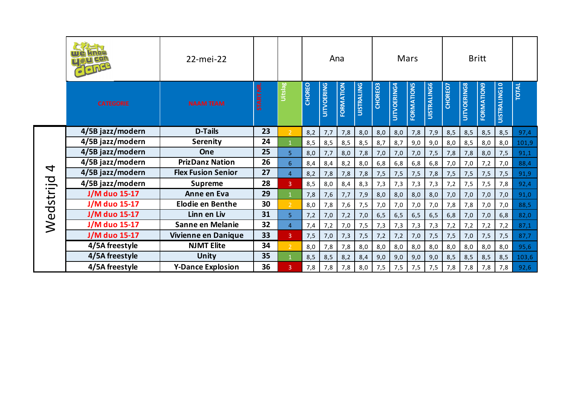|                          |                      | 22-mei-22                 |                  |                         |               |                   | Ana              |                   |         |             | Mars       |                    |         |             | <b>Britt</b>      |                     |              |
|--------------------------|----------------------|---------------------------|------------------|-------------------------|---------------|-------------------|------------------|-------------------|---------|-------------|------------|--------------------|---------|-------------|-------------------|---------------------|--------------|
|                          | <b>CATEGORIE</b>     | <b>NAAM TEAM</b>          | <b>START NR.</b> | <b>Belsin</b>           | <b>CHOREO</b> | <b>UITVOERING</b> | <b>FORMATION</b> | <b>UISTRALING</b> | CHOREO3 | UITVOERING4 | FORMATIONS | <b>UISTRALING6</b> | CHOREO7 | UITVOERING8 | <b>FORMATION9</b> | <b>UISTRALING10</b> | <b>TOTAL</b> |
|                          | 4/5B jazz/modern     | <b>D-Tails</b>            | 23               | 2 <sup>1</sup>          | 8,2           | 7,7               | 7,8              | 8,0               | 8,0     | 8,0         | 7,8        | 7,9                | 8,5     | 8,5         | 8,5               | 8,5                 | 97,4         |
|                          | 4/5B jazz/modern     | Serenity                  | 24               |                         | 8,5           | 8,5               | 8,5              | 8,5               | 8,7     | 8,7         | 9,0        | 9,0                | 8,0     | 8,5         | 8,0               | 8,0                 | 101,9        |
|                          | 4/5B jazz/modern     | <b>One</b>                | 25               | 5.                      | 8,0           | 7,7               | 8,0              | 7,8               | 7,0     | 7,0         | 7,0        | 7,5                | 7,8     | 7,8         | 8,0               | 7,5                 | 91,1         |
| $\overline{\mathcal{A}}$ | 4/5B jazz/modern     | <b>PrizDanz Nation</b>    | 26               | 6 <sup>1</sup>          | 8,4           | 8,4               | 8,2              | 8,0               | 6,8     | 6,8         | 6,8        | 6,8                | 7,0     | 7,0         | 7,2               | 7,0                 | 88,4         |
|                          | 4/5B jazz/modern     | <b>Flex Fusion Senior</b> | 27               | $\overline{4}$          | 8,2           | 7,8               | 7,8              | 7,8               | 7,5     | 7,5         | 7,5        | 7,8                | 7,5     | 7,5         | 7,5               | 7,5                 | 91,9         |
|                          | 4/5B jazz/modern     | <b>Supreme</b>            | 28               | $\overline{3}$          | 8,5           | 8,0               | 8,4              | 8,3               | 7,3     | 7,3         | 7,3        | 7,3                | 7,2     | 7,5         | 7,5               | 7,8                 | 92,4         |
|                          | <b>J/M duo 15-17</b> | Anne en Eva               | 29               |                         | 7,8           | 7,6               | 7,7              | 7,9               | 8,0     | 8,0         | 8,0        | 8,0                | 7,0     | 7,0         | 7,0               | 7,0                 | 91,0         |
| Wedstrijd                | J/M duo 15-17        | <b>Elodie en Benthe</b>   | 30               | 2 <sup>1</sup>          | 8,0           | 7,8               | 7,6              | 7,5               | 7,0     | 7,0         | 7,0        | 7,0                | 7,8     | 7,8         | 7,0               | 7,0                 | 88,5         |
|                          | J/M duo 15-17        | Linn en Liv               | 31               | 5                       | 7,2           | 7,0               | 7,2              | 7,0               | 6, 5    | 6, 5        | 6, 5       | 6, 5               | 6, 8    | 7,0         | 7,0               | 6,8                 | 82,0         |
|                          | <b>J/M duo 15-17</b> | Sanne en Melanie          | 32               | $\overline{4}$          | 7,4           | 7,2               | 7,0              | 7,5               | 7,3     | 7,3         | 7,3        | 7,3                | 7,2     | 7,2         | 7,2               | 7,2                 | 87,1         |
|                          | J/M duo 15-17        | Vivienne en Danique       | 33               | 3 <sup>1</sup>          | 7,5           | 7,0               | 7,3              | 7,5               | 7,2     | 7,2         | 7,0        | 7,5                | 7,5     | 7,0         | 7,5               | 7,5                 | 87,7         |
|                          | 4/5A freestyle       | <b>NJMT Elite</b>         | 34               | $\overline{2}$          | 8,0           | 7,8               | 7,8              | 8,0               | 8,0     | 8,0         | 8,0        | 8,0                | 8,0     | 8,0         | 8,0               | 8,0                 | 95,6         |
|                          | 4/5A freestyle       | <b>Unity</b>              | 35               |                         | 8,5           | 8,5               | 8,2              | 8,4               | 9,0     | 9,0         | 9,0        | 9,0                | 8,5     | 8,5         | 8,5               | 8,5                 | 103,6        |
|                          | 4/5A freestyle       | <b>Y-Dance Explosion</b>  | 36               | $\overline{\mathbf{3}}$ | 7,8           | 7,8               | 7,8              | 8,0               | 7,5     | 7,5         | 7,5        | 7,5                | 7,8     | 7,8         | 7,8               | 7,8                 | 92,6         |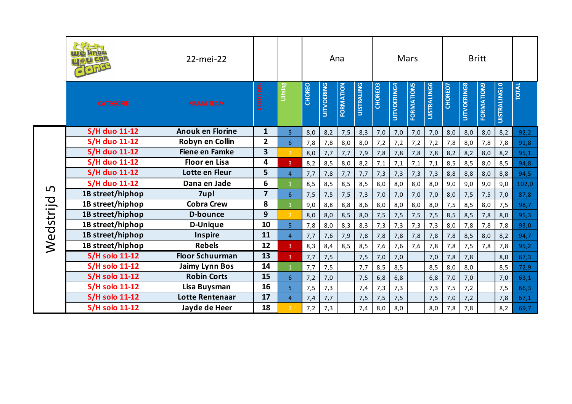|           | Glong                 | 22-mei-22               |                         |                 |               |                   | Ana       |                   |         |             | Mars              |                    |         |                    | <b>Britt</b>      |                     |              |
|-----------|-----------------------|-------------------------|-------------------------|-----------------|---------------|-------------------|-----------|-------------------|---------|-------------|-------------------|--------------------|---------|--------------------|-------------------|---------------------|--------------|
|           | <b>CATEGORIE</b>      | <b>NAAM TEAM</b>        | <b>START NR.</b>        | <b>Uitslag</b>  | <b>CHOREO</b> | <b>UITVOERING</b> | FORMATION | <b>UISTRALING</b> | CHOREO3 | UITVOERING4 | <b>FORMATIONS</b> | <b>UISTRALING6</b> | CHOREO7 | <b>UITVOERING8</b> | <b>FORMATION9</b> | <b>UISTRALING10</b> | <b>TOTAL</b> |
|           | <b>S/H duo 11-12</b>  | <b>Anouk en Florine</b> | $\mathbf{1}$            | 5 <sup>1</sup>  | 8,0           | 8,2               | 7,5       | 8,3               | 7,0     | 7,0         | 7,0               | 7,0                | 8,0     | 8,0                | 8,0               | 8,2                 | 92,2         |
|           | <b>S/H duo 11-12</b>  | Robyn en Collin         | $\mathbf{2}$            | $6\overline{6}$ | 7,8           | 7,8               | 8,0       | 8,0               | 7,2     | 7,2         | 7,2               | 7,2                | 7,8     | 8,0                | 7,8               | 7,8                 | 91,8         |
|           | <b>S/H duo 11-12</b>  | <b>Fiene en Famke</b>   | $\overline{\mathbf{3}}$ | 2 <sup>1</sup>  | 8,0           | 7,7               | 7,7       | 7,9               | 7,8     | 7,8         | 7,8               | 7,8                | 8,2     | 8,2                | 8,0               | 8,2                 | 95,1         |
|           | <b>S/H duo 11-12</b>  | <b>Floor en Lisa</b>    | 4                       | 3 <sup>°</sup>  | 8,2           | 8,5               | 8,0       | 8,2               | 7,1     | 7,1         | 7,1               | 7,1                | 8,5     | 8,5                | 8,0               | 8,5                 | 94,8         |
|           | <b>S/H duo 11-12</b>  | Lotte en Fleur          | 5                       | $\overline{4}$  | 7,7           | 7,8               | 7,7       | 7,7               | 7,3     | 7,3         | 7,3               | 7,3                | 8,8     | 8,8                | 8,0               | 8,8                 | 94,5         |
| L         | <b>S/H duo 11-12</b>  | Dana en Jade            | 6                       | $\mathbf{1}$    | 8,5           | 8,5               | 8,5       | 8,5               | 8,0     | 8,0         | 8,0               | 8,0                | 9,0     | 9,0                | 9,0               | 9,0                 | 102,0        |
|           | 1B street/hiphop      | 7up!                    | $\overline{7}$          | 6               | 7,5           | 7,5               | 7,5       | 7,3               | 7,0     | 7,0         | 7,0               | 7,0                | 8,0     | 7,5                | 7,5               | 7,0                 | 87,8         |
|           | 1B street/hiphop      | <b>Cobra Crew</b>       | 8                       |                 | 9,0           | 8,8               | 8,8       | 8,6               | 8,0     | 8,0         | 8,0               | 8,0                | 7,5     | 8,5                | 8,0               | 7,5                 | 98,7         |
|           | 1B street/hiphop      | <b>D-bounce</b>         | $\mathbf{9}$            | $\overline{2}$  | 8,0           | 8,0               | 8,5       | 8,0               | 7,5     | 7,5         | 7,5               | 7,5                | 8,5     | 8,5                | 7,8               | 8,0                 | 95,3         |
|           | 1B street/hiphop      | <b>D-Unique</b>         | 10                      | 5               | 7,8           | 8,0               | 8,3       | 8,3               | 7,3     | 7,3         | 7,3               | 7,3                | 8,0     | 7,8                | 7,8               | 7,8                 | 93,0         |
|           | 1B street/hiphop      | <b>Inspire</b>          | 11                      | $\overline{4}$  | 7,7           | 7,6               | 7,9       | 7,8               | 7,8     | 7,8         | 7,8               | 7,8                | 7,8     | 8,5                | 8,0               | 8,2                 | 94,7         |
| Wedstrijd | 1B street/hiphop      | <b>Rebels</b>           | 12                      | 3 <sup>°</sup>  | 8,3           | 8,4               | 8,5       | 8,5               | 7,6     | 7,6         | 7,6               | 7,8                | 7,8     | 7,5                | 7,8               | 7,8                 | 95,2         |
|           | <b>S/H solo 11-12</b> | <b>Floor Schuurman</b>  | 13                      | 3 <sup>°</sup>  | 7,7           | 7,5               |           | 7,5               | 7,0     | 7,0         |                   | 7,0                | 7,8     | 7,8                |                   | 8,0                 | 67,3         |
|           | <b>S/H solo 11-12</b> | <b>Jaimy Lynn Bos</b>   | 14                      | $\mathbf{1}$    | 7,7           | 7,5               |           | 7,7               | 8,5     | 8,5         |                   | 8,5                | 8,0     | 8,0                |                   | 8,5                 | 72,9         |
|           | <b>S/H solo 11-12</b> | <b>Robin Corts</b>      | 15                      | $6\overline{6}$ | 7,2           | 7,0               |           | 7,5               | 6, 8    | 6,8         |                   | 6,8                | 7,0     | 7,0                |                   | 7,0                 | 63,1         |
|           | <b>S/H solo 11-12</b> | Lisa Buysman            | 16                      | $\overline{5}$  | 7,5           | 7,3               |           | 7,4               | 7,3     | 7,3         |                   | 7,3                | 7,5     | 7,2                |                   | 7,5                 | 66,3         |
|           | <b>S/H solo 11-12</b> | Lotte Rentenaar         | 17                      | $\overline{4}$  | 7,4           | 7,7               |           | 7,5               | 7,5     | 7,5         |                   | 7,5                | 7,0     | 7,2                |                   | 7,8                 | 67,1         |
|           | <b>S/H solo 11-12</b> | Jayde de Heer           | 18                      | $\mathcal{D}$   | 7,2           | 7,3               |           | 7,4               | 8,0     | 8,0         |                   | 8,0                | 7,8     | 7,8                |                   | 8,2                 | 69,7         |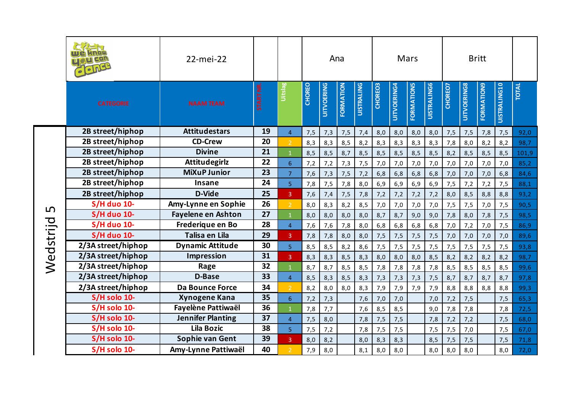|                |                    | 22-mei-22                 |                 |                |        |                   | Ana       |                   |         |             | Mars              |                    |         |                    | <b>Britt</b>      |              |              |
|----------------|--------------------|---------------------------|-----------------|----------------|--------|-------------------|-----------|-------------------|---------|-------------|-------------------|--------------------|---------|--------------------|-------------------|--------------|--------------|
|                | <b>CATEGORIE</b>   | <b>NAAM TEAM</b>          | <b>START NR</b> | Uitslag        | CHOREO | <b>UITVOERING</b> | FORMATION | <b>UISTRALING</b> | CHOREO3 | UITVOERING4 | <b>FORMATIONS</b> | <b>UISTRALING6</b> | CHOREO7 | <b>UITVOERING8</b> | <b>FORMATION9</b> | UISTRALING10 | <b>TOTAL</b> |
|                | 2B street/hiphop   | <b>Attitudestars</b>      | 19              | $\overline{4}$ | 7,5    | 7,3               | 7,5       | 7,4               | 8,0     | 8,0         | 8,0               | 8,0                | 7,5     | 7,5                | 7,8               | 7,5          | 92,0         |
|                | 2B street/hiphop   | <b>CD-Crew</b>            | 20              | $\overline{2}$ | 8,3    | 8,3               | 8,5       | 8,2               | 8,3     | 8,3         | 8,3               | 8,3                | 7,8     | 8,0                | 8,2               | 8,2          | 98,7         |
|                | 2B street/hiphop   | <b>Divine</b>             | 21              |                | 8,5    | 8,5               | 8,7       | 8,5               | 8,5     | 8,5         | 8,5               | 8,5                | 8,2     | 8,5                | 8,5               | 8,5          | 101,9        |
|                | 2B street/hiphop   | <b>Attitudegirlz</b>      | 22              | 6 <sup>1</sup> | 7,2    | 7,2               | 7,3       | 7,5               | 7,0     | 7,0         | 7,0               | 7,0                | 7,0     | 7,0                | 7,0               | 7,0          | 85,2         |
|                | 2B street/hiphop   | <b>MiXuP Junior</b>       | 23              | $\overline{7}$ | 7,6    | 7,3               | 7,5       | 7,2               | 6,8     | 6,8         | 6, 8              | 6,8                | 7,0     | 7,0                | 7,0               | 6,8          | 84,6         |
|                | 2B street/hiphop   | <b>Insane</b>             | 24              | $\overline{5}$ | 7,8    | 7,5               | 7,8       | 8,0               | 6,9     | 6,9         | 6,9               | 6,9                | 7,5     | 7,2                | 7,2               | 7,5          | 88,1         |
|                | 2B street/hiphop   | <b>D-Vide</b>             | 25              | 3              | 7,6    | 7,4               | 7,5       | 7,8               | 7,2     | 7,2         | 7,2               | 7,2                | 8,0     | 8,5                | 8,8               | 8,8          | 93,2         |
|                | <b>S/H</b> duo 10- | Amy-Lynne en Sophie       | 26              |                | 8,0    | 8,3               | 8,2       | 8,5               | 7,0     | 7,0         | 7,0               | 7,0                | 7,5     | 7,5                | 7,0               | 7,5          | 90,5         |
|                | <b>S/H duo 10-</b> | <b>Fayelene en Ashton</b> | 27              |                | 8,0    | 8,0               | 8,0       | 8,0               | 8,7     | 8,7         | 9,0               | 9,0                | 7,8     | 8,0                | 7,8               | 7,5          | 98,5         |
| ம<br>Wedstrijd | <b>S/H</b> duo 10- | Frederique en Bo          | 28              | $\overline{4}$ | 7,6    | 7,6               | 7,8       | 8,0               | 6,8     | 6,8         | 6, 8              | 6, 8               | 7,0     | 7,2                | 7,0               | 7,5          | 86,9         |
|                | <b>S/H</b> duo 10- | Talisa en Lila            | 29              | $\overline{3}$ | 7,8    | 7,8               | 8,0       | 8,0               | 7,5     | 7,5         | 7,5               | 7,5                | 7,0     | 7,0                | 7,0               | 7,0          | 89,6         |
|                | 2/3A street/hiphop | <b>Dynamic Attitude</b>   | 30              | 5              | 8,5    | 8,5               | 8,2       | 8,6               | 7,5     | 7,5         | 7,5               | 7,5                | 7,5     | 7,5                | 7,5               | 7,5          | 93,8         |
|                | 2/3A street/hiphop | <b>Impression</b>         | 31              | 3              | 8,3    | 8,3               | 8,5       | 8,3               | 8,0     | 8,0         | 8,0               | 8,5                | 8,2     | 8,2                | 8,2               | 8,2          | 98,7         |
|                | 2/3A street/hiphop | Rage                      | 32              |                | 8,7    | 8,7               | 8,5       | 8,5               | 7,8     | 7,8         | 7,8               | 7,8                | 8,5     | 8,5                | 8,5               | 8,5          | 99,6         |
|                | 2/3A street/hiphop | <b>D-Base</b>             | 33              | $\overline{4}$ | 8,5    | 8,3               | 8,5       | 8,3               | 7,3     | 7,3         | 7,3               | 7,5                | 8,7     | 8,7                | 8,7               | 8,7          | 97,8         |
|                | 2/3A street/hiphop | Da Bounce Force           | 34              | $\overline{2}$ | 8,2    | 8,0               | 8,0       | 8,3               | 7,9     | 7,9         | 7,9               | 7,9                | 8,8     | 8,8                | 8,8               | 8,8          | 99,3         |
|                | S/H solo 10-       | <b>Xynogene Kana</b>      | 35              | 6 <sup>1</sup> | 7,2    | 7,3               |           | 7,6               | 7,0     | 7,0         |                   | 7,0                | 7,2     | 7,5                |                   | 7,5          | 65,3         |
|                | S/H solo 10-       | Fayelène Pattiwaël        | 36              |                | 7,8    | 7,7               |           | 7,6               | 8,5     | 8,5         |                   | 9,0                | 7,8     | 7,8                |                   | 7,8          | 72,5         |
|                | S/H solo 10-       | <b>Jennifer Planting</b>  | 37              | $\overline{4}$ | 7,5    | 8,0               |           | 7,8               | 7,5     | 7,5         |                   | 7,8                | 7,2     | 7,2                |                   | 7,5          | 68,0         |
|                | S/H solo 10-       | <b>Lila Bozic</b>         | 38              | 5              | 7,5    | 7,2               |           | 7,8               | 7,5     | 7,5         |                   | 7,5                | 7,5     | 7,0                |                   | 7,5          | 67,0         |
|                | S/H solo 10-       | Sophie van Gent           | 39              | 3              | 8,0    | 8,2               |           | 8,0               | 8,3     | 8,3         |                   | 8,5                | 7,5     | 7,5                |                   | 7,5          | 71,8         |
|                | S/H solo 10-       | Amy-Lynne Pattiwaël       | 40              | $\overline{2}$ | 7,9    | 8,0               |           | 8,1               | 8,0     | 8,0         |                   | 8,0                | 8,0     | 8,0                |                   | 8,0          | 72,0         |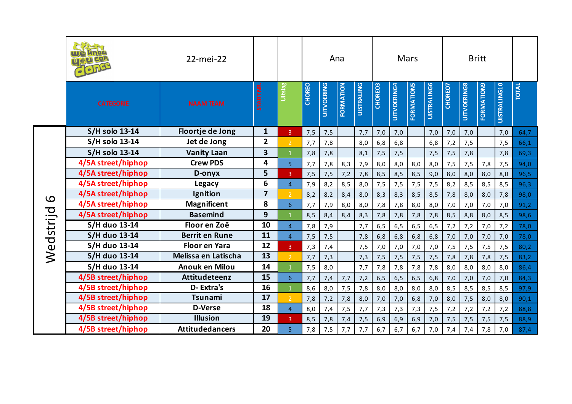|           |                       | 22-mei-22              |                         |                |               |                   | Ana       |                   |         |                    | Mars              |                    |         |                    | <b>Britt</b>      |                     |              |
|-----------|-----------------------|------------------------|-------------------------|----------------|---------------|-------------------|-----------|-------------------|---------|--------------------|-------------------|--------------------|---------|--------------------|-------------------|---------------------|--------------|
|           | <b>CATEGORIE</b>      | <b>NAAM TEAM</b>       | START NR.               | Uitslag        | <b>CHOREO</b> | <b>UITVOERING</b> | FORMATION | <b>UISTRALING</b> | CHOREO3 | <b>UITVOERING4</b> | <b>FORMATIONS</b> | <b>UISTRALING6</b> | CHOREO7 | <b>UITVOERING8</b> | <b>FORMATION9</b> | <b>UISTRALING10</b> | <b>TOTAL</b> |
|           | <b>S/H solo 13-14</b> | Floortje de Jong       | $\mathbf{1}$            | 3 <sup>7</sup> | 7,5           | 7,5               |           | 7,7               | 7,0     | 7,0                |                   | 7,0                | 7,0     | 7,0                |                   | 7,0                 | 64,7         |
|           | <b>S/H solo 13-14</b> | Jet de Jong            | $\overline{2}$          | $\overline{2}$ | 7,7           | 7,8               |           | 8,0               | 6,8     | 6,8                |                   | 6,8                | 7,2     | 7,5                |                   | 7,5                 | 66,1         |
|           | <b>S/H solo 13-14</b> | <b>Vanity Laan</b>     | 3                       | $\mathbf{1}$   | 7,8           | 7,8               |           | 8,1               | 7,5     | 7,5                |                   | 7,5                | 7,5     | 7,8                |                   | 7,8                 | 69,3         |
|           | 4/5A street/hiphop    | <b>Crew PDS</b>        | 4                       | 5 <sub>1</sub> | 7,7           | 7,8               | 8,3       | 7,9               | 8,0     | 8,0                | 8,0               | 8,0                | 7,5     | 7,5                | 7,8               | 7,5                 | 94,0         |
|           | 4/5A street/hiphop    | D-onyx                 | 5                       | $\overline{3}$ | 7,5           | 7,5               | 7,2       | 7,8               | 8,5     | 8,5                | 8,5               | 9,0                | 8,0     | 8,0                | 8,0               | 8,0                 | 96,5         |
|           | 4/5A street/hiphop    | <b>Legacy</b>          | $\boldsymbol{6}$        | $\overline{4}$ | 7,9           | 8,2               | 8,5       | 8,0               | 7,5     | 7,5                | 7,5               | 7,5                | 8,2     | 8,5                | 8,5               | 8,5                 | 96,3         |
| 9         | 4/5A street/hiphop    | Ignition               | $\overline{\mathbf{z}}$ | $\mathcal{D}$  | 8,2           | 8,2               | 8,4       | 8,0               | 8,3     | 8,3                | 8,5               | 8,5                | 7,8     | 8,0                | 8,0               | 7,8                 | 98,0         |
|           | 4/5A street/hiphop    | <b>Magnificent</b>     | 8                       | 6 <sup>1</sup> | 7,7           | 7,9               | 8,0       | 8,0               | 7,8     | 7,8                | 8,0               | 8,0                | 7,0     | 7,0                | 7,0               | 7,0                 | 91,2         |
|           | 4/5A street/hiphop    | <b>Basemind</b>        | 9                       |                | 8,5           | 8,4               | 8,4       | 8,3               | 7,8     | 7,8                | 7,8               | 7,8                | 8,5     | 8,8                | 8,0               | 8,5                 | 98,6         |
|           | S/H duo 13-14         | Floor en Zoë           | 10                      | $\overline{4}$ | 7,8           | 7,9               |           | 7,7               | 6, 5    | 6, 5               | 6, 5              | 6, 5               | 7,2     | 7,2                | 7,0               | 7,2                 | 78,0         |
| Wedstrijd | <b>S/H duo 13-14</b>  | <b>Berrit en Rune</b>  | 11                      | $\overline{4}$ | 7,5           | 7,5               |           | 7,8               | 6,8     | 6, 8               | 6, 8              | 6,8                | 7,0     | 7,0                | 7,0               | 7,0                 | 78,0         |
|           | S/H duo 13-14         | <b>Floor en Yara</b>   | 12                      | $\overline{3}$ | 7,3           | 7,4               |           | 7,5               | 7,0     | 7,0                | 7,0               | 7,0                | 7,5     | 7,5                | 7,5               | 7,5                 | 80,2         |
|           | <b>S/H duo 13-14</b>  | Melissa en Latischa    | 13                      | 2 <sup>1</sup> | 7,7           | 7,3               |           | 7,3               | 7,5     | 7,5                | 7,5               | 7,5                | 7,8     | 7,8                | 7,8               | 7,5                 | 83,2         |
|           | S/H duo 13-14         | Anouk en Milou         | 14                      | $\mathbf{1}$   | 7,5           | 8,0               |           | 7,7               | 7,8     | 7,8                | 7,8               | 7,8                | 8,0     | 8,0                | 8,0               | 8,0                 | 86,4         |
|           | 4/5B street/hiphop    | <b>Attitudeteenz</b>   | 15                      | 6 <sup>1</sup> | 7,7           | 7,4               | 7,7       | 7,2               | 6, 5    | 6, 5               | 6, 5              | 6,8                | 7,0     | 7,0                | 7,0               | 7,0                 | 84,3         |
|           | 4/5B street/hiphop    | D-Extra's              | 16                      |                | 8,6           | 8,0               | 7,5       | 7,8               | 8,0     | 8,0                | 8,0               | 8,0                | 8,5     | 8,5                | 8,5               | 8,5                 | 97,9         |
|           | 4/5B street/hiphop    | <b>Tsunami</b>         | 17                      | $\overline{2}$ | 7,8           | 7,2               | 7,8       | 8,0               | 7,0     | 7,0                | 6, 8              | 7,0                | 8,0     | 7,5                | 8,0               | 8,0                 | 90,1         |
|           | 4/5B street/hiphop    | <b>D-Verse</b>         | 18                      | $\overline{4}$ | 8,0           | 7,4               | 7,5       | 7,7               | 7,3     | 7,3                | 7,3               | 7,5                | 7,2     | 7,2                | 7,2               | 7,2                 | 88,8         |
|           | 4/5B street/hiphop    | <b>Illusion</b>        | 19                      | $\overline{3}$ | 8,5           | 7,8               | 7,4       | 7,5               | 6,9     | 6,9                | 6,9               | 7,0                | 7,5     | 7,5                | 7,5               | 7,5                 | 88,9         |
|           | 4/5B street/hiphop    | <b>Attitudedancers</b> | 20                      | 5              | 7,8           | 7,5               | 7,7       | 7,7               | 6,7     | 6,7                | 6,7               | 7,0                | 7,4     | 7,4                | 7,8               | 7,0                 | 87,4         |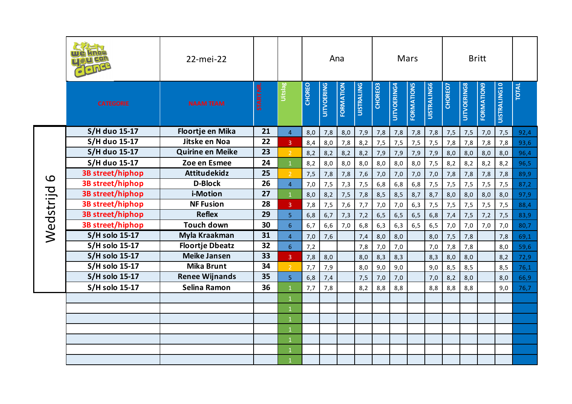|              |                         | 22-mei-22               |           |                 |               |                   | Ana       |                   |         |                    | Mars       |                    |         |                    | <b>Britt</b>      |                     |              |
|--------------|-------------------------|-------------------------|-----------|-----------------|---------------|-------------------|-----------|-------------------|---------|--------------------|------------|--------------------|---------|--------------------|-------------------|---------------------|--------------|
|              | <b>CATEGORIE</b>        | <b>NAAM TEAM</b>        | START NR. | Uitslag         | <b>CHOREO</b> | <b>UITVOERING</b> | FORMATION | <b>UISTRALING</b> | CHOREO3 | <b>UITVOERING4</b> | FORMATIONS | <b>UISTRALING6</b> | CHOREO7 | <b>UITVOERING8</b> | <b>FORMATION9</b> | <b>UISTRALING10</b> | <b>TOTAL</b> |
|              | <b>S/H duo 15-17</b>    | Floortje en Mika        | 21        | 4 <sup>1</sup>  | 8,0           | 7,8               | 8,0       | 7,9               | 7,8     | 7,8                | 7,8        | 7,8                | 7,5     | 7,5                | 7,0               | 7,5                 | 92,4         |
|              | <b>S/H duo 15-17</b>    | Jitske en Noa           | 22        | 3 <sup>°</sup>  | 8,4           | 8,0               | 7,8       | 8,2               | 7,5     | 7,5                | 7,5        | 7,5                | 7,8     | 7,8                | 7,8               | 7,8                 | 93,6         |
|              | <b>S/H duo 15-17</b>    | <b>Quirine en Meike</b> | 23        | $\overline{2}$  | 8,2           | 8,2               | 8,2       | 8,2               | 7,9     | 7,9                | 7,9        | 7,9                | 8,0     | 8,0                | 8,0               | 8,0                 | 96,4         |
|              | <b>S/H duo 15-17</b>    | Zoe en Esmee            | 24        | $\mathbf{1}$    | 8,2           | 8,0               | 8,0       | 8,0               | 8,0     | 8,0                | 8,0        | 7,5                | 8,2     | 8,2                | 8,2               | 8,2                 | 96,5         |
| $\mathbf{Q}$ | 3B street/hiphop        | <b>Attitudekidz</b>     | 25        | $\overline{2}$  | 7,5           | 7,8               | 7,8       | 7,6               | 7,0     | 7,0                | 7,0        | 7,0                | 7,8     | 7,8                | 7,8               | 7,8                 | 89,9         |
|              | 3B street/hiphop        | <b>D-Block</b>          | 26        | $\overline{4}$  | 7,0           | 7,5               | 7,3       | 7,5               | 6,8     | 6,8                | 6,8        | 7,5                | 7,5     | 7,5                | 7,5               | 7,5                 | 87,2         |
| Wedstrijd    | 3B street/hiphop        | i-Motion                | 27        | $\overline{1}$  | 8,0           | 8,2               | 7,5       | 7,8               | 8,5     | 8,5                | 8,7        | 8,7                | 8,0     | 8,0                | 8,0               | 8,0                 | 97,9         |
|              | 3B street/hiphop        | <b>NF Fusion</b>        | 28        | 3 <sup>°</sup>  | 7,8           | 7,5               | 7,6       | 7,7               | 7,0     | 7,0                | 6,3        | 7,5                | 7,5     | 7,5                | 7,5               | 7,5                 | 88,4         |
|              | 3B street/hiphop        | <b>Reflex</b>           | 29        | 5 <sup>1</sup>  | 6,8           | 6,7               | 7,3       | 7,2               | 6, 5    | 6, 5               | 6, 5       | 6,8                | 7,4     | 7,5                | 7,2               | 7,5                 | 83,9         |
|              | <b>3B street/hiphop</b> | <b>Touch down</b>       | 30        | $6\overline{6}$ | 6,7           | 6,6               | 7,0       | 6,8               | 6,3     | 6,3                | 6, 5       | 6, 5               | 7,0     | 7,0                | 7,0               | 7,0                 | 80,7         |
|              | <b>S/H solo 15-17</b>   | Myla Kraakman           | 31        | $\overline{4}$  | 7,0           | 7,6               |           | 7,4               | 8,0     | 8,0                |            | 8,0                | 7,5     | 7,8                |                   | 7,8                 | 69,1         |
|              | <b>S/H solo 15-17</b>   | <b>Floortje Dbeatz</b>  | 32        | $\overline{6}$  | 7,2           |                   |           | 7,8               | 7,0     | 7,0                |            | 7,0                | 7,8     | 7,8                |                   | 8,0                 | 59,6         |
|              | <b>S/H solo 15-17</b>   | <b>Meike Jansen</b>     | 33        | $\overline{3}$  | 7,8           | 8,0               |           | 8,0               | 8,3     | 8,3                |            | 8,3                | 8,0     | 8,0                |                   | 8,2                 | 72,9         |
|              | <b>S/H solo 15-17</b>   | <b>Mika Brunt</b>       | 34        | $\overline{2}$  | 7,7           | 7,9               |           | 8,0               | 9,0     | 9,0                |            | 9,0                | 8,5     | 8,5                |                   | 8,5                 | 76,1         |
|              | <b>S/H solo 15-17</b>   | <b>Renee Wijnands</b>   | 35        | 5 <sup>1</sup>  | 6,8           | 7,4               |           | 7,5               | 7,0     | 7,0                |            | 7,0                | 8,2     | 8,0                |                   | 8,0                 | 66,9         |
|              | <b>S/H solo 15-17</b>   | Selina Ramon            | 36        | $\mathbf{1}$    | 7,7           | 7,8               |           | 8,2               | 8,8     | 8,8                |            | 8,8                | 8,8     | 8,8                |                   | 9,0                 | 76,7         |
|              |                         |                         |           | $\mathbf{1}$    |               |                   |           |                   |         |                    |            |                    |         |                    |                   |                     |              |
|              |                         |                         |           | $\mathbf{1}$    |               |                   |           |                   |         |                    |            |                    |         |                    |                   |                     |              |
|              |                         |                         |           | $\mathbf{1}$    |               |                   |           |                   |         |                    |            |                    |         |                    |                   |                     |              |
|              |                         |                         |           | $\mathbf{1}$    |               |                   |           |                   |         |                    |            |                    |         |                    |                   |                     |              |
|              |                         |                         |           | $\mathbf{1}$    |               |                   |           |                   |         |                    |            |                    |         |                    |                   |                     |              |
|              |                         |                         |           | $\mathbf{1}$    |               |                   |           |                   |         |                    |            |                    |         |                    |                   |                     |              |
|              |                         |                         |           | $\mathbf{1}$    |               |                   |           |                   |         |                    |            |                    |         |                    |                   |                     |              |